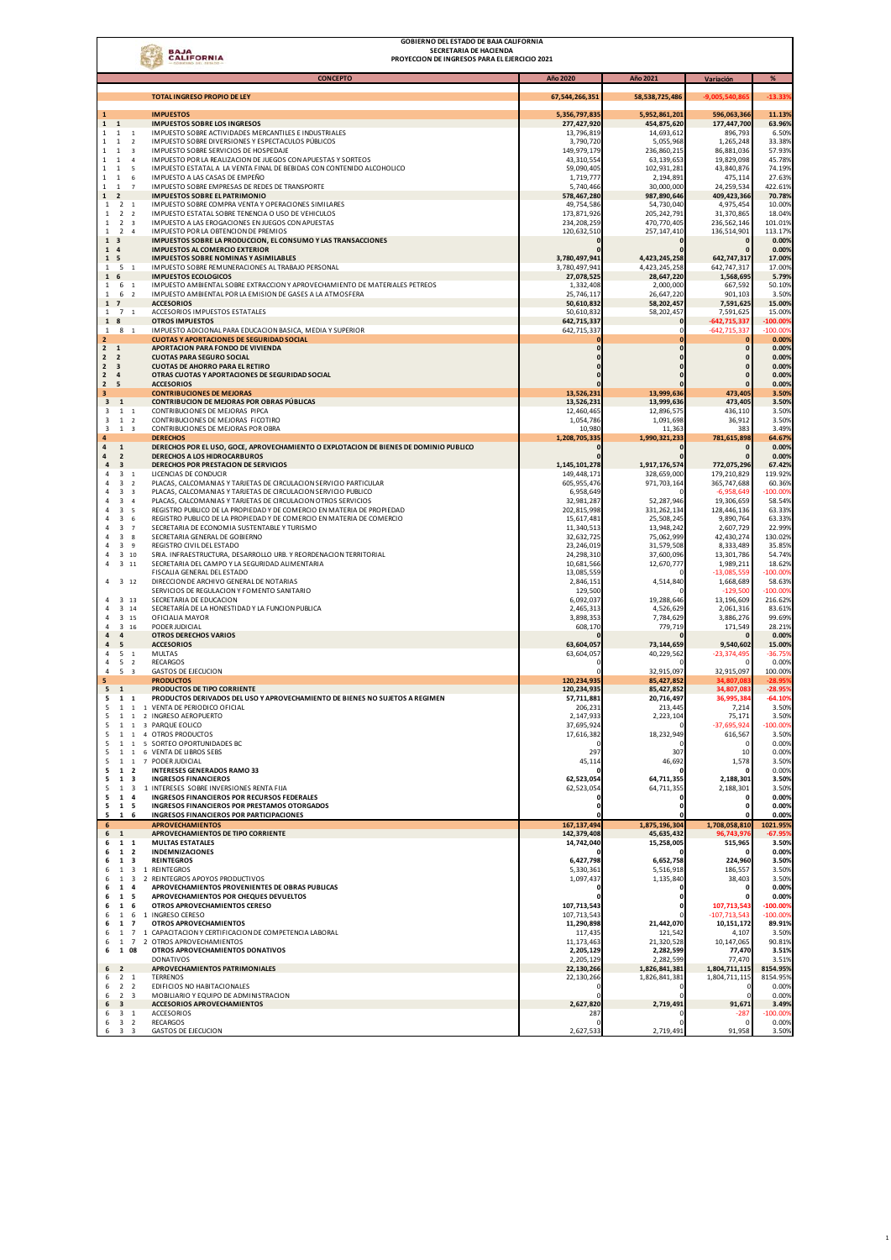| <b>GOBIERNO DEL ESTADO DE BAJA CALIFORNIA</b><br>SECRETARIA DE HACIENDA<br><b>BAJA</b><br><b>CALIFORNIA</b><br>PROYECCION DE INGRESOS PARA EL EJERCICIO 2021 |                                           |                                                                                                                                         |                              |                              |                              |                       |  |  |  |
|--------------------------------------------------------------------------------------------------------------------------------------------------------------|-------------------------------------------|-----------------------------------------------------------------------------------------------------------------------------------------|------------------------------|------------------------------|------------------------------|-----------------------|--|--|--|
|                                                                                                                                                              |                                           | <b>CONCEPTO</b>                                                                                                                         | <b>Año 2020</b>              | Año 2021                     | Variación                    | %                     |  |  |  |
|                                                                                                                                                              |                                           | TOTAL INGRESO PROPIO DE LEY                                                                                                             | 67,544,266,351               | 58, 538, 725, 486            | 9.005.540.86                 | 13.33                 |  |  |  |
|                                                                                                                                                              |                                           | <b>IMPUESTOS</b>                                                                                                                        |                              |                              |                              |                       |  |  |  |
| 1<br>$\mathbf 1$<br>$\mathbf 1$                                                                                                                              |                                           | <b>IMPUESTOS SOBRE LOS INGRESOS</b>                                                                                                     | 5,356,797,835<br>277,427,920 | 5,952,861,201<br>454,875,620 | 596,063,366<br>177,447,700   | 11.139<br>63.969      |  |  |  |
| $\mathbf{1}$<br>$\mathbf{1}$                                                                                                                                 | $\,$ 1                                    | IMPUESTO SOBRE ACTIVIDADES MERCANTILES E INDUSTRIALES                                                                                   | 13,796,819                   | 14,693,61                    | 896,793                      | 6.509                 |  |  |  |
| $\mathbf{1}$<br>$\mathbf{1}$<br>1<br>$\mathbf{1}$                                                                                                            | $\overline{2}$<br>3                       | IMPUESTO SOBRE DIVERSIONES Y ESPECTACULOS PÚBLICOS<br>IMPUESTO SOBRE SERVICIOS DE HOSPEDAJE                                             | 3,790,720<br>149,979,179     | 5,055,968<br>236,860,21      | 1,265,248<br>86,881,036      | 33.389<br>57.939      |  |  |  |
| $\mathbf{1}$<br>$\mathbf{1}$                                                                                                                                 | $\overline{4}$                            | IMPUESTO POR LA REALIZACION DE JUEGOS CON APUESTAS Y SORTEOS                                                                            | 43,310,554                   | 63,139,653                   | 19,829,098                   | 45.789                |  |  |  |
| $\mathbf{1}$<br>$\mathbf{1}$<br>1<br>$\mathbf{1}$                                                                                                            | 5<br>6                                    | IMPUESTO ESTATAL A LA VENTA FINAL DE BEBIDAS CON CONTENIDO ALCOHOLICO<br>IMPUESTO A LAS CASAS DE EMPEÑO                                 | 59,090,40<br>1,719,77        | 102,931,281<br>2,194,891     | 43,840,876<br>475,114        | 74.199<br>27.639      |  |  |  |
| $\mathbf{1}$<br>$\mathbf{1}$                                                                                                                                 | $\overline{7}$                            | IMPUESTO SOBRE EMPRESAS DE REDES DE TRANSPORTE                                                                                          | 5,740,466                    | 30,000,000                   | 24,259,534                   | 422.619               |  |  |  |
| $\mathbf 1$<br>$\overline{2}$<br>$\overline{2}$<br>$\mathbf{1}$                                                                                              | $\mathbf{1}$                              | <b>IMPUESTOS SOBRE EL PATRIMONIO</b><br>IMPUESTO SOBRE COMPRA VENTA Y OPERACIONES SIMILARES                                             | 578,467,280<br>49,754,586    | 987,890,646<br>54,730,040    | 409,423,366<br>4,975,454     | 70.789<br>10.009      |  |  |  |
| $\overline{2}$<br>$\mathbf{1}$                                                                                                                               | $\overline{2}$                            | IMPUESTO ESTATAL SOBRE TENENCIA O USO DE VEHICULOS                                                                                      | 173,871,926                  | 205, 242, 791                | 31,370,865                   | 18.04%                |  |  |  |
| $\overline{2}$<br>$\mathbf{1}$<br>$\mathbf{1}$<br>$\overline{2}$                                                                                             | 3<br>$\overline{4}$                       | IMPUESTO A LAS EROGACIONES EN JUEGOS CON APUESTAS<br>IMPUESTO POR LA OBTENCION DE PREMIOS                                               | 234, 208, 259<br>120,632,510 | 470,770,405<br>257, 147, 410 | 236, 562, 146<br>136,514,901 | 101.019<br>113.179    |  |  |  |
| $\mathbf 1$<br>з                                                                                                                                             |                                           | IMPUESTOS SOBRE LA PRODUCCION, EL CONSUMO Y LAS TRANSACCIONES                                                                           |                              |                              | O                            | 0.009                 |  |  |  |
| $\mathbf{1}$<br>4<br>$\mathbf{1}$<br>5                                                                                                                       |                                           | <b>IMPUESTOS AL COMERCIO EXTERIOR</b><br><b>IMPUESTOS SOBRE NOMINAS Y ASIMILABLES</b>                                                   | 3,780,497,941                | 4,423,245,258                | 642,747,317                  | 0.009<br>17.009       |  |  |  |
| 5<br>$\mathbf{1}$                                                                                                                                            | $\mathbf{1}$                              | IMPUESTO SOBRE REMUNERACIONES AL TRABAJO PERSONAL                                                                                       | 3,780,497,941                | 4,423,245,258                | 642,747,317                  | 17.009                |  |  |  |
| $\mathbf{1}$<br>6<br>$\mathbf{1}$<br>6                                                                                                                       | $\mathbf{1}$                              | <b>IMPUESTOS ECOLOGICOS</b><br>IMPUESTO AMBIENTAL SOBRE EXTRACCION Y APROVECHAMIENTO DE MATERIALES PETREOS                              | 27,078,525<br>1,332,408      | 28,647,220<br>2,000,000      | 1,568,695<br>667,592         | 5.799<br>50.109       |  |  |  |
| $\mathbf 1$<br>6                                                                                                                                             | $\overline{2}$                            | IMPUESTO AMBIENTAL POR LA EMISION DE GASES A LA ATMOSFERA                                                                               | 25,746,11                    | 26,647,220                   | 901,103                      | 3.509                 |  |  |  |
| $\mathbf{1}$<br>$\overline{z}$<br>$\overline{7}$<br>$\mathbf{1}$                                                                                             | $\overline{1}$                            | <b>ACCESORIOS</b><br>ACCESORIOS IMPUESTOS ESTATALES                                                                                     | 50,610,832<br>50,610,832     | 58,202,457<br>58,202,457     | 7,591,625<br>7,591,625       | 15.009<br>15.009      |  |  |  |
| $\mathbf{1}$<br>8                                                                                                                                            |                                           | <b>OTROS IMPUESTOS</b>                                                                                                                  | 642,715,337                  |                              | $-642,715,337$               | $-100.009$            |  |  |  |
| 8 1<br>1                                                                                                                                                     |                                           | IMPUESTO ADICIONAL PARA EDUCACION BASICA, MEDIA Y SUPERIOR<br><b>CUOTAS Y APORTACIONES DE SEGURIDAD SOCIAL</b>                          | 642,715,337                  |                              | $-642.715.337$               | $-100.005$            |  |  |  |
| 2<br>$\overline{2}$<br>$\mathbf{1}$                                                                                                                          |                                           | APORTACION PARA FONDO DE VIVIENDA                                                                                                       |                              |                              | O<br>$\pmb{0}$               | 0.00%<br>0.00%        |  |  |  |
| $\overline{2}$<br>$\overline{2}$                                                                                                                             |                                           | <b>CUOTAS PARA SEGURO SOCIAL</b>                                                                                                        |                              |                              | $\mathbf{0}$                 | 0.00%                 |  |  |  |
| $\overline{2}$<br>$\overline{\mathbf{3}}$<br>$\overline{2}$<br>$\pmb{4}$                                                                                     |                                           | <b>CUOTAS DE AHORRO PARA EL RETIRO</b><br>OTRAS CUOTAS Y APORTACIONES DE SEGURIDAD SOCIAL                                               |                              |                              | $\Omega$<br>$\mathbf{0}$     | 0.00%<br>0.00%        |  |  |  |
| $\overline{2}$<br>5                                                                                                                                          |                                           | <b>ACCESORIOS</b>                                                                                                                       |                              |                              | $\mathbf{0}$                 | 0.00%                 |  |  |  |
| 3<br>$\overline{\mathbf{3}}$<br>$\mathbf{1}$                                                                                                                 |                                           | <b>CONTRIBUCIONES DE MEJORAS</b><br>CONTRIBUCION DE MEJORAS POR OBRAS PÚBLICAS                                                          | 13,526,231<br>13,526,231     | 13,999,636<br>13,999,636     | 473.405<br>473,405           | 3.50%<br>3.50%        |  |  |  |
| $\overline{\mathbf{3}}$<br>$\mathbf{1}$                                                                                                                      | $\overline{1}$                            | CONTRIBUCIONES DE MEJORAS PIPCA                                                                                                         | 12,460,465                   | 12,896,575                   | 436,110                      | 3.509                 |  |  |  |
| $\overline{\mathbf{3}}$<br>$\mathbf{1}$<br>3<br>$1 \quad 3$                                                                                                  | $\overline{2}$                            | CONTRIBUCIONES DE MEJORAS FICOTIRO<br>CONTRIBUCIONES DE MEJORAS POR OBRA                                                                | 1,054,786<br>10,980          | 1,091,698<br>11,363          | 36,912<br>383                | 3.509<br>3.499        |  |  |  |
| 4                                                                                                                                                            |                                           | <b>DERECHOS</b>                                                                                                                         | 1,208,705,335                | 1,990,321,233                | 781,615,898                  | 64.679                |  |  |  |
| 4<br>$\mathbf 1$<br>4<br>$\overline{2}$                                                                                                                      |                                           | DERECHOS POR EL USO, GOCE, APROVECHAMIENTO O EXPLOTACION DE BIENES DE DOMINIO PUBLICO<br>DERECHOS A LOS HIDROCARBUROS                   |                              |                              | $\mathbf{0}$                 | 0.00%<br>0.00%        |  |  |  |
| $\overline{\mathbf{3}}$<br>$\overline{a}$                                                                                                                    |                                           | DERECHOS POR PRESTACION DE SERVICIOS                                                                                                    | 1,145,101,278                | 1,917,176,574                | 772,075,296                  | 67.42%                |  |  |  |
| 3<br>4<br>3<br>4                                                                                                                                             | $\mathbf{1}$<br>$\overline{2}$            | LICENCIAS DE CONDUCIR<br>PLACAS, CALCOMANIAS Y TARJETAS DE CIRCULACION SERVICIO PARTICULAR                                              | 149,448,171<br>605,955,476   | 328,659,000<br>971,703,164   | 179,210,829<br>365,747,688   | 119.929<br>60.36%     |  |  |  |
| $\overline{3}$<br>$\overline{4}$                                                                                                                             | 3                                         | PLACAS, CALCOMANIAS Y TARJETAS DE CIRCULACION SERVICIO PUBLICO                                                                          | 6,958,649                    |                              | $-6,958,649$                 | $-100.009$            |  |  |  |
| 3<br>3<br>4                                                                                                                                                  | $\it 4$<br>5                              | PLACAS, CALCOMANIAS Y TARJETAS DE CIRCULACION OTROS SERVICIOS<br>REGISTRO PUBLICO DE LA PROPIEDAD Y DE COMERCIO EN MATERIA DE PROPIEDAD | 32,981,287<br>202,815,998    | 52,287,946<br>331, 262, 134  | 19,306,659<br>128,446,136    | 58.549<br>63.339      |  |  |  |
| 3                                                                                                                                                            | 6                                         | REGISTRO PUBLICO DE LA PROPIEDAD Y DE COMERCIO EN MATERIA DE COMERCIO                                                                   | 15,617,481                   | 25,508,245                   | 9,890,764                    | 63.33%                |  |  |  |
| 3<br>$\overline{3}$                                                                                                                                          | $\overline{7}$                            | SECRETARIA DE ECONOMIA SUSTENTABLE Y TURISMO                                                                                            | 11,340,513                   | 13,948,242                   | 2,607,729                    | 22.999                |  |  |  |
| 4<br>3<br>4                                                                                                                                                  | 8<br>$\,9$                                | SECRETARIA GENERAL DE GOBIERNO<br>REGISTRO CIVIL DEL ESTADO                                                                             | 32,632,725<br>23,246,019     | 75,062,999<br>31,579,508     | 42,430,274<br>8,333,489      | 130.029<br>35.859     |  |  |  |
| 3<br>4                                                                                                                                                       | 10                                        | SRIA. INFRAESTRUCTURA, DESARROLLO URB. Y REORDENACION TERRITORIAL                                                                       | 24, 298, 310                 | 37,600,096                   | 13,301,786                   | 54.74%                |  |  |  |
| 3<br>4                                                                                                                                                       | 11                                        | SECRETARIA DEL CAMPO Y LA SEGURIDAD ALIMENTARIA<br>FISCALIA GENERAL DEL ESTADO                                                          | 10,681,566<br>13,085,559     | 12,670,777                   | 1,989,211<br>$-13,085,559$   | 18.62%<br>$-100.009$  |  |  |  |
| 3 12<br>4                                                                                                                                                    |                                           | DIRECCION DE ARCHIVO GENERAL DE NOTARIAS                                                                                                | 2,846,15                     | 4,514,840                    | 1,668,689                    | 58.63%                |  |  |  |
| 3<br>4                                                                                                                                                       | 13                                        | SERVICIOS DE REGULACION Y FOMENTO SANITARIO<br>SECRETARIA DE EDUCACION                                                                  | 129,500<br>6,092,037         | 19,288,646                   | $-129,500$<br>13,196,609     | $-100.009$<br>216.62% |  |  |  |
| 3<br>4                                                                                                                                                       | 14                                        | SECRETARÍA DE LA HONESTIDAD Y LA FUNCION PUBLICA                                                                                        | 2,465,313                    | 4,526,629                    | 2,061,316                    | 83.61%                |  |  |  |
| 3 15<br>4<br>3<br>4                                                                                                                                          | 16                                        | OFICIALIA MAYOR<br>PODER JUDICIAL                                                                                                       | 3,898,353<br>608,170         | 7.784.629<br>779,719         | 3,886,276<br>171,549         | 99.69%<br>28.21%      |  |  |  |
| $\overline{a}$<br>4                                                                                                                                          |                                           | OTROS DERECHOS VARIOS                                                                                                                   |                              |                              |                              | 0.00%                 |  |  |  |
| $\overline{a}$<br>5<br>5<br>4                                                                                                                                | $\overline{1}$                            | <b>ACCESORIOS</b><br><b>MULTAS</b>                                                                                                      | 63,604,057<br>63,604,057     | 73,144,659<br>40,229,562     | 9,540,602<br>$-23,374,495$   | 15.00%<br>$-36.759$   |  |  |  |
| 5<br>4                                                                                                                                                       | $\overline{2}$                            | <b>RECARGOS</b>                                                                                                                         |                              |                              | $\Omega$                     | 0.00%                 |  |  |  |
| 5<br>4<br>5                                                                                                                                                  | $\overline{\mathbf{3}}$                   | <b>GASTOS DE EJECUCION</b><br><b>PRODUCTOS</b>                                                                                          | 120,234,935                  | 32,915,097<br>85,427,852     | 32,915,097<br>34,807,08      | 100.00%<br>$-28.95$   |  |  |  |
| 5<br>$\mathbf{1}$                                                                                                                                            |                                           | PRODUCTOS DE TIPO CORRIENTE                                                                                                             | 120,234,935                  | 85,427,852                   | 34,807,083                   | $-28.959$             |  |  |  |
| 5<br>$\mathbf{1}$<br>5                                                                                                                                       | $\mathbf{1}$                              | PRODUCTOS DERIVADOS DEL USO Y APROVECHAMIENTO DE BIENES NO SUJETOS A REGIMEN<br>1 1 1 VENTA DE PERIODICO OFICIAL                        | 57,711,881<br>206,231        | 20,716,497<br>213,445        | 36,995,384<br>7,214          | $-64.10%$<br>3.50%    |  |  |  |
| 5<br>-1                                                                                                                                                      | <sup>1</sup>                              | 2 INGRESO AEROPUERTO                                                                                                                    | 2,147,933                    | 2,223,104                    | 75,171                       | 3.50%                 |  |  |  |
| 5<br>$\mathbf{1}$<br>5<br>$\mathbf{1}$                                                                                                                       | $\overline{1}$<br>$\,$ 1 $\,$             | 3 PARQUE EOLICO<br>4 OTROS PRODUCTOS                                                                                                    | 37,695,924<br>17,616,382     | 18,232,949                   | $-37,695,924$<br>616,567     | $-100.009$<br>3.50%   |  |  |  |
| 5<br>$\mathbf{1}$                                                                                                                                            | $\mathbf{1}$                              | 5 SORTEO OPORTUNIDADES BC                                                                                                               |                              |                              | $\Omega$                     | 0.00%                 |  |  |  |
| 5<br>$\mathbf{1}$<br>5<br>$\mathbf{1}$                                                                                                                       | $1\,$<br>$\overline{1}$                   | 6 VENTA DE LIBROS SEBS<br>7 PODER JUDICIAL                                                                                              | 297<br>45,114                | 307<br>46,692                | 10<br>1,578                  | 0.00%<br>3.50%        |  |  |  |
| 5<br>$\mathbf{1}$                                                                                                                                            | $\overline{\mathbf{2}}$                   | <b>INTERESES GENERADOS RAMO 33</b>                                                                                                      |                              |                              |                              | 0.00%                 |  |  |  |
| 5<br>$\mathbf{1}$<br>5<br>$\mathbf{1}$                                                                                                                       | 3<br>$\overline{\mathbf{3}}$              | <b>INGRESOS FINANCIEROS</b><br>1 INTERESES SOBRE INVERSIONES RENTA FIJA                                                                 | 62,523,054<br>62,523,054     | 64,711,355<br>64,711,355     | 2,188,301<br>2,188,301       | 3.50%<br>3.50%        |  |  |  |
| 5<br>$\mathbf{1}$                                                                                                                                            | $\overline{a}$                            | INGRESOS FINANCIEROS POR RECURSOS FEDERALES                                                                                             |                              |                              | $\Omega$                     | 0.00%                 |  |  |  |
| 5<br>1 5<br>5<br>$\mathbf{1}$                                                                                                                                | 6                                         | <b>INGRESOS FINANCIEROS POR PRESTAMOS OTORGADOS</b><br>INGRESOS FINANCIEROS POR PARTICIPACIONES                                         |                              |                              | $\Omega$                     | 0.00%<br>0.00%        |  |  |  |
| 6                                                                                                                                                            |                                           | <b>APROVECHAMIENTOS</b>                                                                                                                 | 167, 137, 494                | 1,875,196,304                | 1,708,058,810                | 1021.95%              |  |  |  |
| 6<br>$\overline{1}$                                                                                                                                          |                                           | APROVECHAMIENTOS DE TIPO CORRIENTE                                                                                                      | 142,379,408                  | 45,635,432                   | 96,743,976                   | $-67.959$             |  |  |  |
| $1\quad1$<br>6<br>$\mathbf{1}$<br>6                                                                                                                          | $\overline{\mathbf{2}}$                   | <b>MULTAS ESTATALES</b><br><b>INDEMNIZACIONES</b>                                                                                       | 14,742,040                   | 15,258,005                   | 515,965<br>n                 | 3.50%<br>0.00%        |  |  |  |
| $\mathbf{1}$<br>6                                                                                                                                            | $\overline{\mathbf{3}}$                   | <b>REINTEGROS</b>                                                                                                                       | 6,427,798                    | 6,652,758                    | 224,960                      | 3.50%                 |  |  |  |
| $\mathbf{1}$<br>$6 \theta$<br>$\overline{1}$<br>$6 \theta$                                                                                                   | $\overline{\mathbf{3}}$<br>$\overline{3}$ | 1 REINTEGROS<br>2 REINTEGROS APOYOS PRODUCTIVOS                                                                                         | 5,330,361<br>1,097,437       | 5,516,918<br>1,135,840       | 186,557<br>38,403            | 3.50%<br>3.50%        |  |  |  |
| $\mathbf{1}$<br>6                                                                                                                                            | 4                                         | APROVECHAMIENTOS PROVENIENTES DE OBRAS PUBLICAS                                                                                         |                              |                              | $\Omega$                     | 0.00%                 |  |  |  |
| 1<br>6<br>$\mathbf{1}$<br>6                                                                                                                                  | 5<br>-6                                   | APROVECHAMIENTOS POR CHEQUES DEVUELTOS<br>OTROS APROVECHAMIENTOS CERESO                                                                 | 107,713,543                  |                              | $\Omega$<br>107,713,543      | 0.00%<br>$-100.009$   |  |  |  |
| $\overline{1}$<br>6                                                                                                                                          | 6                                         | 1 INGRESO CERESO                                                                                                                        | 107,713,543                  |                              | $-107,713,543$               | $-100.009$            |  |  |  |
| $\mathbf{1}$<br>6<br>$\mathbf{1}$<br>6                                                                                                                       | $\overline{7}$<br>$\overline{7}$          | OTROS APROVECHAMIENTOS<br>1 CAPACITACION Y CERTIFICACION DE COMPETENCIA LABORAL                                                         | 11,290,898<br>117,435        | 21,442,070<br>121,542        | 10,151,172<br>4,107          | 89.91%<br>3.50%       |  |  |  |
| 1 7<br>6                                                                                                                                                     |                                           | 2 OTROS APROVECHAMIENTOS                                                                                                                | 11,173,463                   | 21,320,528                   | 10,147,065                   | 90.81%                |  |  |  |
| 1 08<br>6                                                                                                                                                    |                                           | OTROS APROVECHAMIENTOS DONATIVOS<br><b>DONATIVOS</b>                                                                                    | 2,205,129<br>2,205,129       | 2,282,599<br>2,282,599       | 77,470<br>77,470             | 3.51%<br>3.51%        |  |  |  |
| 6<br>$\overline{2}$                                                                                                                                          |                                           | APROVECHAMIENTOS PATRIMONIALES                                                                                                          | 22,130,266                   | 1,826,841,381                | 1,804,711,115                | 8154.95%              |  |  |  |
| $\overline{2}$<br>6<br>2 <sub>2</sub><br>6                                                                                                                   | <sup>1</sup>                              | <b>TERRENOS</b><br>EDIFICIOS NO HABITACIONALES                                                                                          | 22,130,266                   | 1,826,841,381                | 1,804,711,115                | 8154.95%              |  |  |  |
| $\overline{2}$<br>6                                                                                                                                          | $\overline{\mathbf{3}}$                   | MOBILIARIO Y EQUIPO DE ADMINISTRACION                                                                                                   |                              |                              |                              | 0.00%<br>0.00%        |  |  |  |
| 6<br>$\overline{\mathbf{3}}$<br>$\overline{\mathbf{3}}$<br>6                                                                                                 | 1                                         | <b>ACCESORIOS APROVECHAMIENTOS</b><br><b>ACCESORIOS</b>                                                                                 | 2,627,820                    | 2,719,491                    | 91,671                       | 3.49%<br>$-100.00%$   |  |  |  |
| 3 <sub>2</sub><br>6                                                                                                                                          |                                           | <b>RECARGOS</b>                                                                                                                         | 287                          |                              | $-287$<br>$\Omega$           | 0.00%                 |  |  |  |
| $\overline{\mathbf{3}}$<br>6                                                                                                                                 | $\overline{\mathbf{3}}$                   | <b>GASTOS DE EJECUCION</b>                                                                                                              | 2,627,533                    | 2,719,491                    | 91,958                       | 3.50%                 |  |  |  |

1